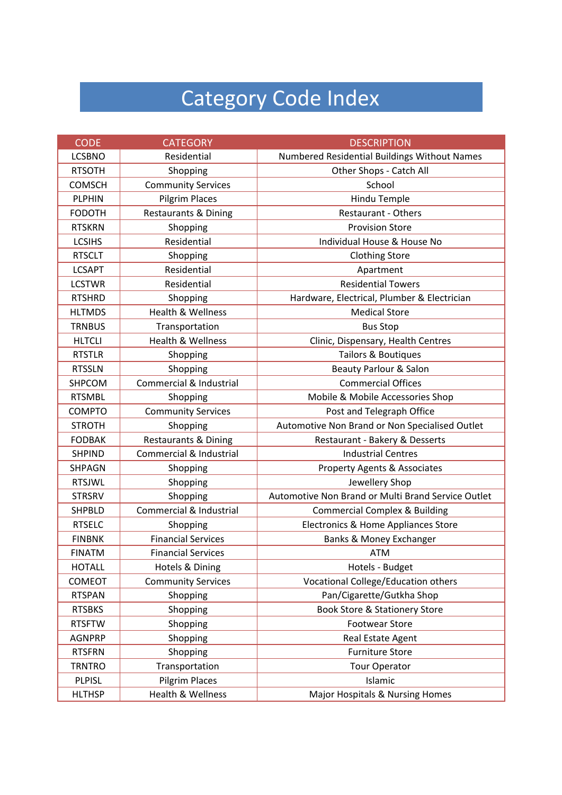# Category Code Index

| <b>CODE</b>   | <b>CATEGORY</b>                 | <b>DESCRIPTION</b>                                 |
|---------------|---------------------------------|----------------------------------------------------|
| <b>LCSBNO</b> | Residential                     | Numbered Residential Buildings Without Names       |
| <b>RTSOTH</b> | Shopping                        | Other Shops - Catch All                            |
| <b>COMSCH</b> | <b>Community Services</b>       | School                                             |
| <b>PLPHIN</b> | <b>Pilgrim Places</b>           | Hindu Temple                                       |
| <b>FODOTH</b> | <b>Restaurants &amp; Dining</b> | <b>Restaurant - Others</b>                         |
| <b>RTSKRN</b> | Shopping                        | <b>Provision Store</b>                             |
| <b>LCSIHS</b> | Residential                     | Individual House & House No                        |
| <b>RTSCLT</b> | Shopping                        | <b>Clothing Store</b>                              |
| <b>LCSAPT</b> | Residential                     | Apartment                                          |
| <b>LCSTWR</b> | Residential                     | <b>Residential Towers</b>                          |
| <b>RTSHRD</b> | Shopping                        | Hardware, Electrical, Plumber & Electrician        |
| <b>HLTMDS</b> | <b>Health &amp; Wellness</b>    | <b>Medical Store</b>                               |
| <b>TRNBUS</b> | Transportation                  | <b>Bus Stop</b>                                    |
| <b>HLTCLI</b> | <b>Health &amp; Wellness</b>    | Clinic, Dispensary, Health Centres                 |
| <b>RTSTLR</b> | Shopping                        | Tailors & Boutiques                                |
| <b>RTSSLN</b> | Shopping                        | <b>Beauty Parlour &amp; Salon</b>                  |
| SHPCOM        | Commercial & Industrial         | <b>Commercial Offices</b>                          |
| <b>RTSMBL</b> | Shopping                        | Mobile & Mobile Accessories Shop                   |
| <b>COMPTO</b> | <b>Community Services</b>       | Post and Telegraph Office                          |
| <b>STROTH</b> | Shopping                        | Automotive Non Brand or Non Specialised Outlet     |
| <b>FODBAK</b> | <b>Restaurants &amp; Dining</b> | Restaurant - Bakery & Desserts                     |
| <b>SHPIND</b> | Commercial & Industrial         | <b>Industrial Centres</b>                          |
| <b>SHPAGN</b> | Shopping                        | Property Agents & Associates                       |
| <b>RTSJWL</b> | Shopping                        | Jewellery Shop                                     |
| <b>STRSRV</b> | Shopping                        | Automotive Non Brand or Multi Brand Service Outlet |
| <b>SHPBLD</b> | Commercial & Industrial         | <b>Commercial Complex &amp; Building</b>           |
| <b>RTSELC</b> | Shopping                        | Electronics & Home Appliances Store                |
| <b>FINBNK</b> | <b>Financial Services</b>       | Banks & Money Exchanger                            |
| <b>FINATM</b> | <b>Financial Services</b>       | <b>ATM</b>                                         |
| <b>HOTALL</b> | Hotels & Dining                 | Hotels - Budget                                    |
| COMEOT        | <b>Community Services</b>       | Vocational College/Education others                |
| <b>RTSPAN</b> | Shopping                        | Pan/Cigarette/Gutkha Shop                          |
| <b>RTSBKS</b> | Shopping                        | <b>Book Store &amp; Stationery Store</b>           |
| <b>RTSFTW</b> | Shopping                        | <b>Footwear Store</b>                              |
| <b>AGNPRP</b> | Shopping                        | Real Estate Agent                                  |
| <b>RTSFRN</b> | Shopping                        | <b>Furniture Store</b>                             |
| <b>TRNTRO</b> | Transportation                  | <b>Tour Operator</b>                               |
| <b>PLPISL</b> | <b>Pilgrim Places</b>           | Islamic                                            |
| <b>HLTHSP</b> | Health & Wellness               | Major Hospitals & Nursing Homes                    |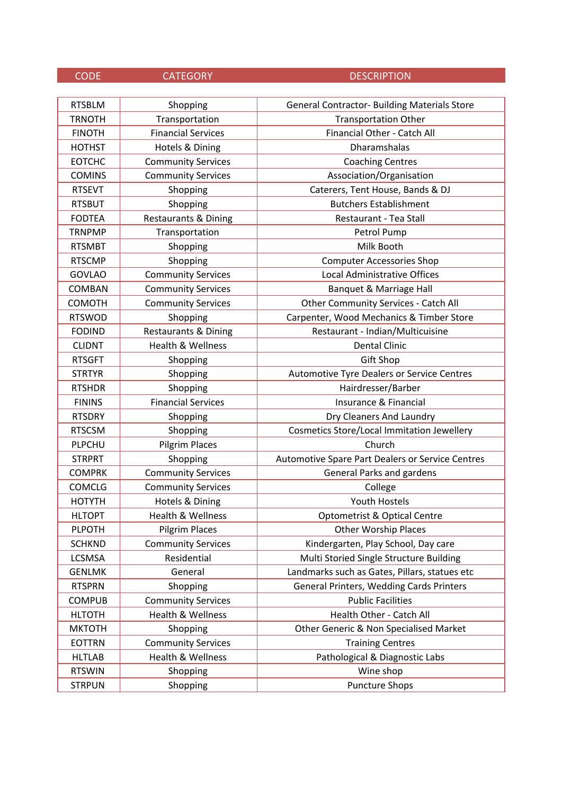| <b>CODE</b> | <b>CATEGORY</b> |  |
|-------------|-----------------|--|
|             |                 |  |

DESCRIPTION

| <b>RTSBLM</b> | Shopping                        | <b>General Contractor- Building Materials Store</b> |
|---------------|---------------------------------|-----------------------------------------------------|
| <b>TRNOTH</b> | Transportation                  | <b>Transportation Other</b>                         |
| <b>FINOTH</b> | <b>Financial Services</b>       | Financial Other - Catch All                         |
| <b>HOTHST</b> | Hotels & Dining                 | Dharamshalas                                        |
| <b>EOTCHC</b> | <b>Community Services</b>       | <b>Coaching Centres</b>                             |
| <b>COMINS</b> | <b>Community Services</b>       | Association/Organisation                            |
| <b>RTSEVT</b> | Shopping                        | Caterers, Tent House, Bands & DJ                    |
| <b>RTSBUT</b> | Shopping                        | <b>Butchers Establishment</b>                       |
| <b>FODTEA</b> | <b>Restaurants &amp; Dining</b> | Restaurant - Tea Stall                              |
| <b>TRNPMP</b> | Transportation                  | Petrol Pump                                         |
| <b>RTSMBT</b> | Shopping                        | Milk Booth                                          |
| <b>RTSCMP</b> | Shopping                        | <b>Computer Accessories Shop</b>                    |
| <b>GOVLAO</b> | <b>Community Services</b>       | Local Administrative Offices                        |
| <b>COMBAN</b> | <b>Community Services</b>       | Banquet & Marriage Hall                             |
| COMOTH        | <b>Community Services</b>       | <b>Other Community Services - Catch All</b>         |
| <b>RTSWOD</b> | Shopping                        | Carpenter, Wood Mechanics & Timber Store            |
| <b>FODIND</b> | <b>Restaurants &amp; Dining</b> | Restaurant - Indian/Multicuisine                    |
| <b>CLIDNT</b> | Health & Wellness               | <b>Dental Clinic</b>                                |
| <b>RTSGFT</b> | Shopping                        | <b>Gift Shop</b>                                    |
| <b>STRTYR</b> | Shopping                        | Automotive Tyre Dealers or Service Centres          |
| <b>RTSHDR</b> | Shopping                        | Hairdresser/Barber                                  |
| <b>FININS</b> | <b>Financial Services</b>       | Insurance & Financial                               |
| <b>RTSDRY</b> | Shopping                        | Dry Cleaners And Laundry                            |
| <b>RTSCSM</b> | Shopping                        | <b>Cosmetics Store/Local Immitation Jewellery</b>   |
| PLPCHU        | Pilgrim Places                  | Church                                              |
| <b>STRPRT</b> | Shopping                        | Automotive Spare Part Dealers or Service Centres    |
| <b>COMPRK</b> | <b>Community Services</b>       | <b>General Parks and gardens</b>                    |
| <b>COMCLG</b> | <b>Community Services</b>       | College                                             |
| <b>HOTYTH</b> | Hotels & Dining                 | <b>Youth Hostels</b>                                |
| <b>HLTOPT</b> | Health & Wellness               | Optometrist & Optical Centre                        |
| <b>PLPOTH</b> | <b>Pilgrim Places</b>           | <b>Other Worship Places</b>                         |
| <b>SCHKND</b> | <b>Community Services</b>       | Kindergarten, Play School, Day care                 |
| LCSMSA        | Residential                     | Multi Storied Single Structure Building             |
| <b>GENLMK</b> | General                         | Landmarks such as Gates, Pillars, statues etc       |
| <b>RTSPRN</b> | Shopping                        | General Printers, Wedding Cards Printers            |
| <b>COMPUB</b> | <b>Community Services</b>       | <b>Public Facilities</b>                            |
| <b>HLTOTH</b> | Health & Wellness               | Health Other - Catch All                            |
| <b>MKTOTH</b> | Shopping                        | Other Generic & Non Specialised Market              |
| <b>EOTTRN</b> | <b>Community Services</b>       | <b>Training Centres</b>                             |
| <b>HLTLAB</b> | Health & Wellness               | Pathological & Diagnostic Labs                      |
| <b>RTSWIN</b> | Shopping                        | Wine shop                                           |
| <b>STRPUN</b> | Shopping                        | <b>Puncture Shops</b>                               |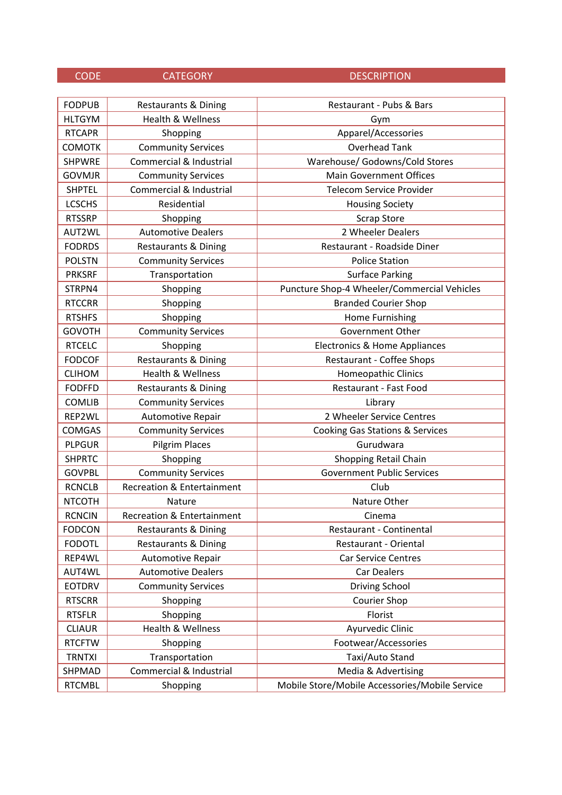| <b>FODPUB</b> | <b>Restaurants &amp; Dining</b>       | Restaurant - Pubs & Bars                       |
|---------------|---------------------------------------|------------------------------------------------|
| <b>HLTGYM</b> | <b>Health &amp; Wellness</b>          | Gym                                            |
| <b>RTCAPR</b> | Shopping                              | Apparel/Accessories                            |
| <b>COMOTK</b> | <b>Community Services</b>             | <b>Overhead Tank</b>                           |
| <b>SHPWRE</b> | Commercial & Industrial               | Warehouse/ Godowns/Cold Stores                 |
| <b>GOVMJR</b> | <b>Community Services</b>             | <b>Main Government Offices</b>                 |
| <b>SHPTEL</b> | Commercial & Industrial               | <b>Telecom Service Provider</b>                |
| <b>LCSCHS</b> | Residential                           | <b>Housing Society</b>                         |
| <b>RTSSRP</b> | Shopping                              | <b>Scrap Store</b>                             |
| AUT2WL        | <b>Automotive Dealers</b>             | 2 Wheeler Dealers                              |
| <b>FODRDS</b> | <b>Restaurants &amp; Dining</b>       | Restaurant - Roadside Diner                    |
| <b>POLSTN</b> | <b>Community Services</b>             | <b>Police Station</b>                          |
| <b>PRKSRF</b> | Transportation                        | <b>Surface Parking</b>                         |
| STRPN4        | Shopping                              | Puncture Shop-4 Wheeler/Commercial Vehicles    |
| <b>RTCCRR</b> | Shopping                              | <b>Branded Courier Shop</b>                    |
| <b>RTSHFS</b> | Shopping                              | Home Furnishing                                |
| <b>GOVOTH</b> | <b>Community Services</b>             | Government Other                               |
| <b>RTCELC</b> | Shopping                              | Electronics & Home Appliances                  |
| <b>FODCOF</b> | <b>Restaurants &amp; Dining</b>       | <b>Restaurant - Coffee Shops</b>               |
| <b>CLIHOM</b> | <b>Health &amp; Wellness</b>          | Homeopathic Clinics                            |
| <b>FODFFD</b> | <b>Restaurants &amp; Dining</b>       | Restaurant - Fast Food                         |
| <b>COMLIB</b> | <b>Community Services</b>             | Library                                        |
| REP2WL        | Automotive Repair                     | 2 Wheeler Service Centres                      |
| <b>COMGAS</b> | <b>Community Services</b>             | Cooking Gas Stations & Services                |
| <b>PLPGUR</b> | <b>Pilgrim Places</b>                 | Gurudwara                                      |
| <b>SHPRTC</b> | Shopping                              | Shopping Retail Chain                          |
| <b>GOVPBL</b> | <b>Community Services</b>             | <b>Government Public Services</b>              |
| <b>RCNCLB</b> | <b>Recreation &amp; Entertainment</b> | Club                                           |
| <b>NTCOTH</b> | Nature                                | Nature Other                                   |
| <b>RCNCIN</b> | <b>Recreation &amp; Entertainment</b> | Cinema                                         |
| <b>FODCON</b> | <b>Restaurants &amp; Dining</b>       | Restaurant - Continental                       |
| <b>FODOTL</b> | <b>Restaurants &amp; Dining</b>       | Restaurant - Oriental                          |
| REP4WL        | Automotive Repair                     | <b>Car Service Centres</b>                     |
| AUT4WL        | <b>Automotive Dealers</b>             | <b>Car Dealers</b>                             |
| <b>EOTDRV</b> | <b>Community Services</b>             | Driving School                                 |
| <b>RTSCRR</b> | Shopping                              | Courier Shop                                   |
| <b>RTSFLR</b> | Shopping                              | Florist                                        |
| <b>CLIAUR</b> | Health & Wellness                     | Ayurvedic Clinic                               |
| <b>RTCFTW</b> | Shopping                              | Footwear/Accessories                           |
| <b>TRNTXI</b> | Transportation                        | Taxi/Auto Stand                                |
| SHPMAD        | Commercial & Industrial               | Media & Advertising                            |
| <b>RTCMBL</b> | Shopping                              | Mobile Store/Mobile Accessories/Mobile Service |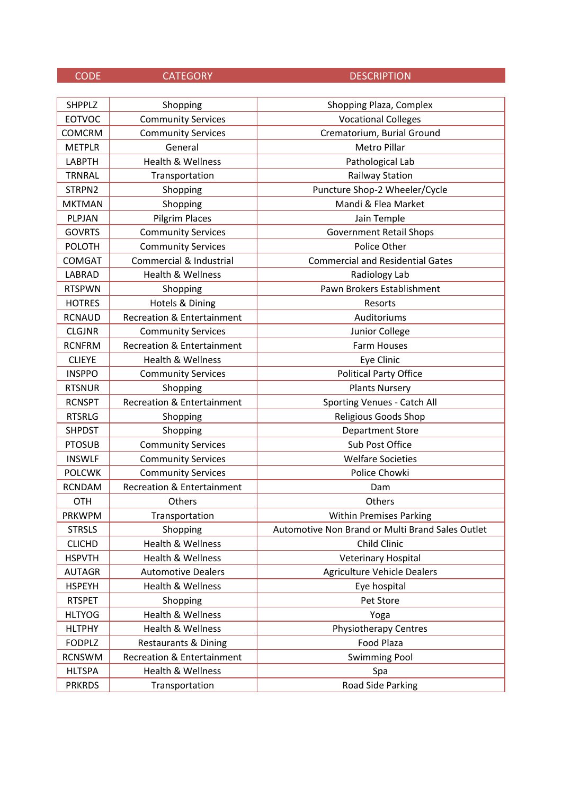| <b>SHPPLZ</b> | Shopping                              | Shopping Plaza, Complex                          |
|---------------|---------------------------------------|--------------------------------------------------|
| <b>EOTVOC</b> | <b>Community Services</b>             | <b>Vocational Colleges</b>                       |
| <b>COMCRM</b> | <b>Community Services</b>             | Crematorium, Burial Ground                       |
| <b>METPLR</b> | General                               | <b>Metro Pillar</b>                              |
| <b>LABPTH</b> | <b>Health &amp; Wellness</b>          | Pathological Lab                                 |
| <b>TRNRAL</b> | Transportation                        | <b>Railway Station</b>                           |
| STRPN2        | Shopping                              | Puncture Shop-2 Wheeler/Cycle                    |
| <b>MKTMAN</b> | Shopping                              | Mandi & Flea Market                              |
| PLPJAN        | <b>Pilgrim Places</b>                 | Jain Temple                                      |
| <b>GOVRTS</b> | <b>Community Services</b>             | <b>Government Retail Shops</b>                   |
| <b>POLOTH</b> | <b>Community Services</b>             | Police Other                                     |
| <b>COMGAT</b> | Commercial & Industrial               | <b>Commercial and Residential Gates</b>          |
| <b>LABRAD</b> | Health & Wellness                     | Radiology Lab                                    |
| <b>RTSPWN</b> | Shopping                              | Pawn Brokers Establishment                       |
| <b>HOTRES</b> | Hotels & Dining                       | Resorts                                          |
| <b>RCNAUD</b> | <b>Recreation &amp; Entertainment</b> | Auditoriums                                      |
| <b>CLGJNR</b> | <b>Community Services</b>             | Junior College                                   |
| <b>RCNFRM</b> | Recreation & Entertainment            | <b>Farm Houses</b>                               |
| <b>CLIEYE</b> | Health & Wellness                     | Eye Clinic                                       |
| <b>INSPPO</b> | <b>Community Services</b>             | <b>Political Party Office</b>                    |
| <b>RTSNUR</b> | Shopping                              | <b>Plants Nursery</b>                            |
| <b>RCNSPT</b> | <b>Recreation &amp; Entertainment</b> | Sporting Venues - Catch All                      |
| <b>RTSRLG</b> | Shopping                              | Religious Goods Shop                             |
| <b>SHPDST</b> | Shopping                              | <b>Department Store</b>                          |
| <b>PTOSUB</b> | <b>Community Services</b>             | Sub Post Office                                  |
| <b>INSWLF</b> | <b>Community Services</b>             | <b>Welfare Societies</b>                         |
| <b>POLCWK</b> | <b>Community Services</b>             | Police Chowki                                    |
| <b>RCNDAM</b> | <b>Recreation &amp; Entertainment</b> | Dam                                              |
| <b>OTH</b>    | Others                                | Others                                           |
| <b>PRKWPM</b> | Transportation                        | <b>Within Premises Parking</b>                   |
| <b>STRSLS</b> | Shopping                              | Automotive Non Brand or Multi Brand Sales Outlet |
| <b>CLICHD</b> | Health & Wellness                     | Child Clinic                                     |
| <b>HSPVTH</b> | Health & Wellness                     | <b>Veterinary Hospital</b>                       |
| <b>AUTAGR</b> | <b>Automotive Dealers</b>             | <b>Agriculture Vehicle Dealers</b>               |
| <b>HSPEYH</b> | Health & Wellness                     | Eye hospital                                     |
| <b>RTSPET</b> | Shopping                              | Pet Store                                        |
| <b>HLTYOG</b> | Health & Wellness                     | Yoga                                             |
| <b>HLTPHY</b> | Health & Wellness                     | <b>Physiotherapy Centres</b>                     |
| <b>FODPLZ</b> | <b>Restaurants &amp; Dining</b>       | Food Plaza                                       |
| <b>RCNSWM</b> | <b>Recreation &amp; Entertainment</b> | <b>Swimming Pool</b>                             |
| <b>HLTSPA</b> | Health & Wellness                     | Spa                                              |
| <b>PRKRDS</b> | Transportation                        | Road Side Parking                                |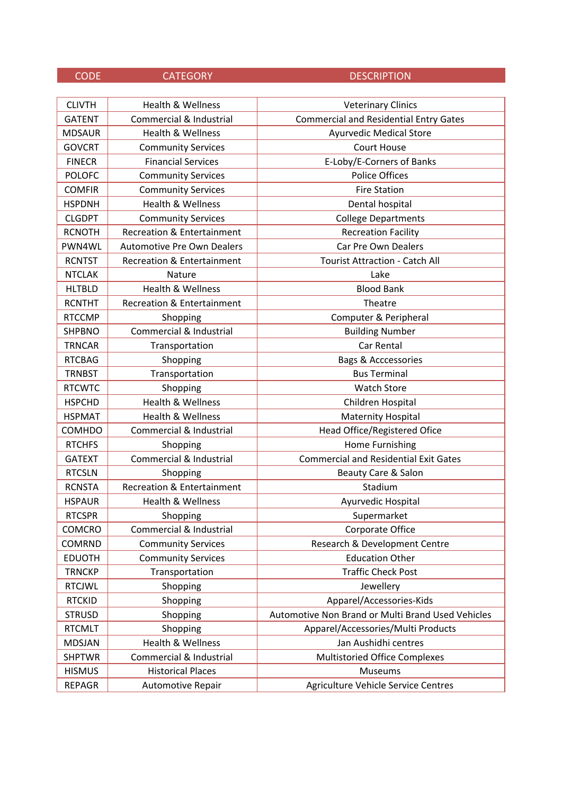## CODE CATEGORY DESCRIPTION CLIVTH Health & Wellness **Veterinary Clinics** GATENT Commercial & Industrial Commercial and Residential Entry Gates MDSAUR Health & Wellness **Ayurvedic Medical Store** GOVCRT Community Services Court House FINECR | Financial Services | E-Loby/E-Corners of Banks POLOFC Community Services **POLOFC** Police Offices COMFIR | Community Services | COMFIR Fire Station HSPDNH | Health & Wellness | Nental hospital CLGDPT | Community Services | College Departments RCNOTH Recreation & Entertainment **Recreation Facility** PWN4WL Automotive Pre Own Dealers | Car Pre Own Dealers RCNTST Recreation & Entertainment | Tourist Attraction - Catch All NTCLAK | Nature | Nature Lake

| <b>COMFIR</b> | <b>Community Services</b>             | <b>Fire Station</b>                               |
|---------------|---------------------------------------|---------------------------------------------------|
| <b>HSPDNH</b> | <b>Health &amp; Wellness</b>          | Dental hospital                                   |
| <b>CLGDPT</b> | <b>Community Services</b>             | <b>College Departments</b>                        |
| <b>RCNOTH</b> | <b>Recreation &amp; Entertainment</b> | <b>Recreation Facility</b>                        |
| PWN4WL        | <b>Automotive Pre Own Dealers</b>     | Car Pre Own Dealers                               |
| <b>RCNTST</b> | <b>Recreation &amp; Entertainment</b> | <b>Tourist Attraction - Catch All</b>             |
| <b>NTCLAK</b> | Nature                                | Lake                                              |
| <b>HLTBLD</b> | <b>Health &amp; Wellness</b>          | <b>Blood Bank</b>                                 |
| <b>RCNTHT</b> | <b>Recreation &amp; Entertainment</b> | Theatre                                           |
| <b>RTCCMP</b> | Shopping                              | Computer & Peripheral                             |
| <b>SHPBNO</b> | Commercial & Industrial               | <b>Building Number</b>                            |
| <b>TRNCAR</b> | Transportation                        | Car Rental                                        |
| <b>RTCBAG</b> | Shopping                              | <b>Bags &amp; Acccessories</b>                    |
| <b>TRNBST</b> | Transportation                        | <b>Bus Terminal</b>                               |
| <b>RTCWTC</b> | Shopping                              | <b>Watch Store</b>                                |
| <b>HSPCHD</b> | <b>Health &amp; Wellness</b>          | Children Hospital                                 |
| <b>HSPMAT</b> | <b>Health &amp; Wellness</b>          | <b>Maternity Hospital</b>                         |
| <b>COMHDO</b> | Commercial & Industrial               | Head Office/Registered Ofice                      |
| <b>RTCHFS</b> | Shopping                              | Home Furnishing                                   |
| <b>GATEXT</b> | Commercial & Industrial               | <b>Commercial and Residential Exit Gates</b>      |
| <b>RTCSLN</b> | Shopping                              | Beauty Care & Salon                               |
| <b>RCNSTA</b> | <b>Recreation &amp; Entertainment</b> | Stadium                                           |
| <b>HSPAUR</b> | Health & Wellness                     | Ayurvedic Hospital                                |
| <b>RTCSPR</b> | Shopping                              | Supermarket                                       |
| <b>COMCRO</b> | Commercial & Industrial               | Corporate Office                                  |
| <b>COMRND</b> | <b>Community Services</b>             | Research & Development Centre                     |
| <b>EDUOTH</b> | <b>Community Services</b>             | <b>Education Other</b>                            |
| <b>TRNCKP</b> | Transportation                        | <b>Traffic Check Post</b>                         |
| <b>RTCJWL</b> | Shopping                              | Jewellery                                         |
| <b>RTCKID</b> | Shopping                              | Apparel/Accessories-Kids                          |
| <b>STRUSD</b> | Shopping                              | Automotive Non Brand or Multi Brand Used Vehicles |
| <b>RTCMLT</b> | Shopping                              | Apparel/Accessories/Multi Products                |
| <b>MDSJAN</b> | Health & Wellness                     | Jan Aushidhi centres                              |
| <b>SHPTWR</b> | Commercial & Industrial               | <b>Multistoried Office Complexes</b>              |
| <b>HISMUS</b> | <b>Historical Places</b>              | Museums                                           |
| <b>REPAGR</b> | Automotive Repair                     | Agriculture Vehicle Service Centres               |
|               |                                       |                                                   |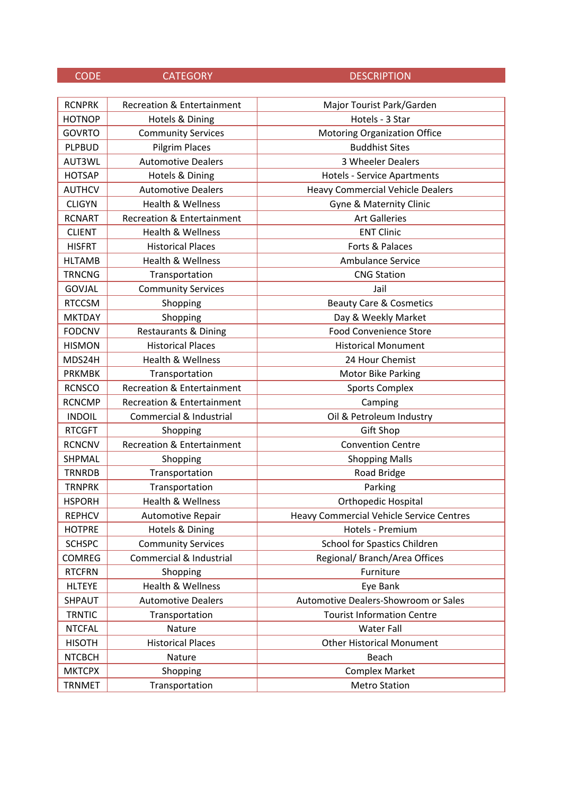| <b>RCNPRK</b> | <b>Recreation &amp; Entertainment</b> | Major Tourist Park/Garden                       |
|---------------|---------------------------------------|-------------------------------------------------|
| <b>HOTNOP</b> | Hotels & Dining                       | Hotels - 3 Star                                 |
| <b>GOVRTO</b> | <b>Community Services</b>             | <b>Motoring Organization Office</b>             |
| <b>PLPBUD</b> | <b>Pilgrim Places</b>                 | <b>Buddhist Sites</b>                           |
| AUT3WL        | <b>Automotive Dealers</b>             | 3 Wheeler Dealers                               |
| <b>HOTSAP</b> | Hotels & Dining                       | <b>Hotels - Service Apartments</b>              |
| <b>AUTHCV</b> | <b>Automotive Dealers</b>             | <b>Heavy Commercial Vehicle Dealers</b>         |
| <b>CLIGYN</b> | <b>Health &amp; Wellness</b>          | Gyne & Maternity Clinic                         |
| <b>RCNART</b> | <b>Recreation &amp; Entertainment</b> | <b>Art Galleries</b>                            |
| <b>CLIENT</b> | Health & Wellness                     | <b>ENT Clinic</b>                               |
| <b>HISFRT</b> | <b>Historical Places</b>              | Forts & Palaces                                 |
| <b>HLTAMB</b> | Health & Wellness                     | <b>Ambulance Service</b>                        |
| <b>TRNCNG</b> | Transportation                        | <b>CNG Station</b>                              |
| GOVJAL        | <b>Community Services</b>             | Jail                                            |
| <b>RTCCSM</b> | Shopping                              | <b>Beauty Care &amp; Cosmetics</b>              |
| <b>MKTDAY</b> | Shopping                              | Day & Weekly Market                             |
| <b>FODCNV</b> | <b>Restaurants &amp; Dining</b>       | <b>Food Convenience Store</b>                   |
| <b>HISMON</b> | <b>Historical Places</b>              | <b>Historical Monument</b>                      |
| MDS24H        | Health & Wellness                     | 24 Hour Chemist                                 |
| <b>PRKMBK</b> | Transportation                        | <b>Motor Bike Parking</b>                       |
| <b>RCNSCO</b> | <b>Recreation &amp; Entertainment</b> | <b>Sports Complex</b>                           |
| <b>RCNCMP</b> | <b>Recreation &amp; Entertainment</b> | Camping                                         |
| <b>INDOIL</b> | Commercial & Industrial               | Oil & Petroleum Industry                        |
| <b>RTCGFT</b> | Shopping                              | <b>Gift Shop</b>                                |
| <b>RCNCNV</b> | <b>Recreation &amp; Entertainment</b> | <b>Convention Centre</b>                        |
| SHPMAL        | Shopping                              | <b>Shopping Malls</b>                           |
| <b>TRNRDB</b> | Transportation                        | Road Bridge                                     |
| <b>TRNPRK</b> | Transportation                        | Parking                                         |
| <b>HSPORH</b> | <b>Health &amp; Wellness</b>          | <b>Orthopedic Hospital</b>                      |
| <b>REPHCV</b> | <b>Automotive Repair</b>              | <b>Heavy Commercial Vehicle Service Centres</b> |
| <b>HOTPRE</b> | Hotels & Dining                       | Hotels - Premium                                |
| <b>SCHSPC</b> | <b>Community Services</b>             | School for Spastics Children                    |
| <b>COMREG</b> | Commercial & Industrial               | Regional/ Branch/Area Offices                   |
| <b>RTCFRN</b> | Shopping                              | Furniture                                       |
| <b>HLTEYE</b> | <b>Health &amp; Wellness</b>          | Eye Bank                                        |
| SHPAUT        | <b>Automotive Dealers</b>             | Automotive Dealers-Showroom or Sales            |
| <b>TRNTIC</b> | Transportation                        | <b>Tourist Information Centre</b>               |
| <b>NTCFAL</b> | Nature                                | <b>Water Fall</b>                               |
| <b>HISOTH</b> | <b>Historical Places</b>              | <b>Other Historical Monument</b>                |
| <b>NTCBCH</b> | Nature                                | Beach                                           |
| <b>MKTCPX</b> | Shopping                              | <b>Complex Market</b>                           |
| <b>TRNMET</b> | Transportation                        | <b>Metro Station</b>                            |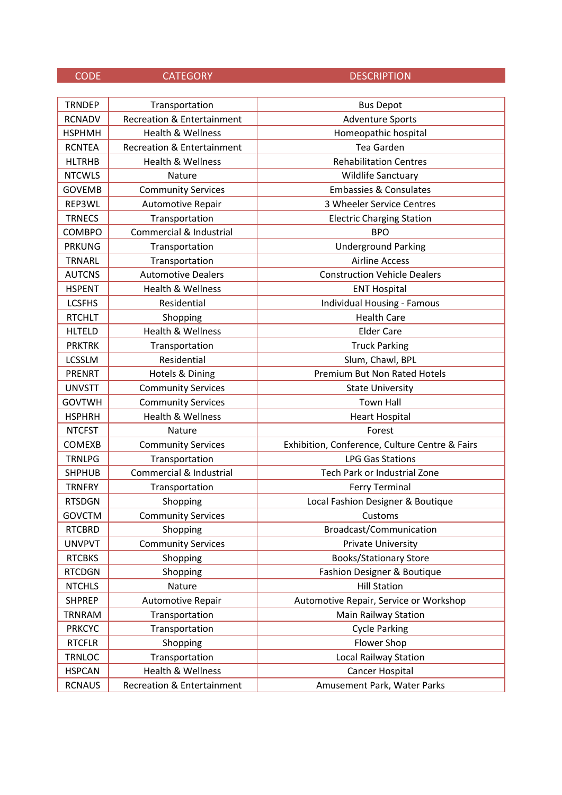| <b>TRNDEP</b> | Transportation                        | <b>Bus Depot</b>                               |
|---------------|---------------------------------------|------------------------------------------------|
| <b>RCNADV</b> | <b>Recreation &amp; Entertainment</b> | <b>Adventure Sports</b>                        |
| <b>HSPHMH</b> | <b>Health &amp; Wellness</b>          | Homeopathic hospital                           |
| <b>RCNTEA</b> | <b>Recreation &amp; Entertainment</b> | Tea Garden                                     |
| <b>HLTRHB</b> | Health & Wellness                     | <b>Rehabilitation Centres</b>                  |
| <b>NTCWLS</b> | Nature                                | Wildlife Sanctuary                             |
| <b>GOVEMB</b> | <b>Community Services</b>             | <b>Embassies &amp; Consulates</b>              |
| REP3WL        | Automotive Repair                     | 3 Wheeler Service Centres                      |
| <b>TRNECS</b> | Transportation                        | <b>Electric Charging Station</b>               |
| <b>COMBPO</b> | Commercial & Industrial               | <b>BPO</b>                                     |
| <b>PRKUNG</b> | Transportation                        | <b>Underground Parking</b>                     |
| <b>TRNARL</b> | Transportation                        | <b>Airline Access</b>                          |
| <b>AUTCNS</b> | <b>Automotive Dealers</b>             | <b>Construction Vehicle Dealers</b>            |
| <b>HSPENT</b> | Health & Wellness                     | <b>ENT Hospital</b>                            |
| <b>LCSFHS</b> | Residential                           | <b>Individual Housing - Famous</b>             |
| <b>RTCHLT</b> | Shopping                              | <b>Health Care</b>                             |
| <b>HLTELD</b> | <b>Health &amp; Wellness</b>          | <b>Elder Care</b>                              |
| <b>PRKTRK</b> | Transportation                        | <b>Truck Parking</b>                           |
| <b>LCSSLM</b> | Residential                           | Slum, Chawl, BPL                               |
| <b>PRENRT</b> | Hotels & Dining                       | <b>Premium But Non Rated Hotels</b>            |
| <b>UNVSTT</b> | <b>Community Services</b>             | <b>State University</b>                        |
| <b>GOVTWH</b> | <b>Community Services</b>             | <b>Town Hall</b>                               |
| <b>HSPHRH</b> | <b>Health &amp; Wellness</b>          | <b>Heart Hospital</b>                          |
| <b>NTCFST</b> | Nature                                | Forest                                         |
| <b>COMEXB</b> | <b>Community Services</b>             | Exhibition, Conference, Culture Centre & Fairs |
| <b>TRNLPG</b> | Transportation                        | <b>LPG Gas Stations</b>                        |
| <b>SHPHUB</b> | Commercial & Industrial               | Tech Park or Industrial Zone                   |
| <b>TRNFRY</b> | Transportation                        | <b>Ferry Terminal</b>                          |
| <b>RTSDGN</b> | Shopping                              | Local Fashion Designer & Boutique              |
| <b>GOVCTM</b> | <b>Community Services</b>             | Customs                                        |
| <b>RTCBRD</b> | Shopping                              | Broadcast/Communication                        |
| <b>UNVPVT</b> | <b>Community Services</b>             | <b>Private University</b>                      |
| <b>RTCBKS</b> | Shopping                              | <b>Books/Stationary Store</b>                  |
| <b>RTCDGN</b> | Shopping                              | Fashion Designer & Boutique                    |
| <b>NTCHLS</b> | Nature                                | <b>Hill Station</b>                            |
| <b>SHPREP</b> | Automotive Repair                     | Automotive Repair, Service or Workshop         |
| <b>TRNRAM</b> | Transportation                        | <b>Main Railway Station</b>                    |
| <b>PRKCYC</b> | Transportation                        | <b>Cycle Parking</b>                           |
| <b>RTCFLR</b> | Shopping                              | Flower Shop                                    |
| <b>TRNLOC</b> | Transportation                        | <b>Local Railway Station</b>                   |
| <b>HSPCAN</b> | Health & Wellness                     | Cancer Hospital                                |
| <b>RCNAUS</b> | Recreation & Entertainment            | Amusement Park, Water Parks                    |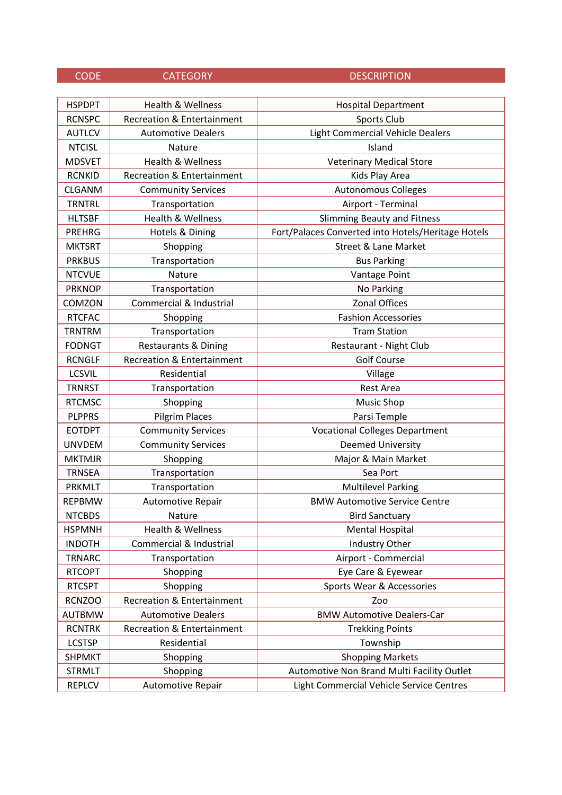| <b>HSPDPT</b> | Health & Wellness                     | <b>Hospital Department</b>                         |
|---------------|---------------------------------------|----------------------------------------------------|
| <b>RCNSPC</b> | <b>Recreation &amp; Entertainment</b> | Sports Club                                        |
| <b>AUTLCV</b> | <b>Automotive Dealers</b>             | Light Commercial Vehicle Dealers                   |
| <b>NTCISL</b> | <b>Nature</b>                         | Island                                             |
| <b>MDSVET</b> | <b>Health &amp; Wellness</b>          | <b>Veterinary Medical Store</b>                    |
| <b>RCNKID</b> | <b>Recreation &amp; Entertainment</b> | Kids Play Area                                     |
| <b>CLGANM</b> | <b>Community Services</b>             | Autonomous Colleges                                |
| <b>TRNTRL</b> | Transportation                        | Airport - Terminal                                 |
| <b>HLTSBF</b> | <b>Health &amp; Wellness</b>          | <b>Slimming Beauty and Fitness</b>                 |
| <b>PREHRG</b> | Hotels & Dining                       | Fort/Palaces Converted into Hotels/Heritage Hotels |
| <b>MKTSRT</b> | Shopping                              | <b>Street &amp; Lane Market</b>                    |
| <b>PRKBUS</b> | Transportation                        | <b>Bus Parking</b>                                 |
| <b>NTCVUE</b> | Nature                                | Vantage Point                                      |
| <b>PRKNOP</b> | Transportation                        | No Parking                                         |
| COMZON        | Commercial & Industrial               | <b>Zonal Offices</b>                               |
| <b>RTCFAC</b> | Shopping                              | <b>Fashion Accessories</b>                         |
| <b>TRNTRM</b> | Transportation                        | <b>Tram Station</b>                                |
| <b>FODNGT</b> | <b>Restaurants &amp; Dining</b>       | Restaurant - Night Club                            |
| <b>RCNGLF</b> | <b>Recreation &amp; Entertainment</b> | <b>Golf Course</b>                                 |
| <b>LCSVIL</b> | Residential                           | Village                                            |
| <b>TRNRST</b> | Transportation                        | <b>Rest Area</b>                                   |
| <b>RTCMSC</b> | Shopping                              | Music Shop                                         |
| <b>PLPPRS</b> | Pilgrim Places                        | Parsi Temple                                       |
| <b>EOTDPT</b> | <b>Community Services</b>             | <b>Vocational Colleges Department</b>              |
| <b>UNVDEM</b> | <b>Community Services</b>             | <b>Deemed University</b>                           |
| <b>MKTMJR</b> | Shopping                              | Major & Main Market                                |
| <b>TRNSEA</b> | Transportation                        | Sea Port                                           |
| <b>PRKMLT</b> | Transportation                        | <b>Multilevel Parking</b>                          |
| <b>REPBMW</b> | Automotive Repair                     | <b>BMW Automotive Service Centre</b>               |
| <b>NTCBDS</b> | Nature                                | <b>Bird Sanctuary</b>                              |
| <b>HSPMNH</b> | Health & Wellness                     | <b>Mental Hospital</b>                             |
| <b>INDOTH</b> | Commercial & Industrial               | Industry Other                                     |
| <b>TRNARC</b> | Transportation                        | Airport - Commercial                               |
| <b>RTCOPT</b> | Shopping                              | Eye Care & Eyewear                                 |
| <b>RTCSPT</b> | Shopping                              | Sports Wear & Accessories                          |
| <b>RCNZOO</b> | <b>Recreation &amp; Entertainment</b> | Zoo                                                |
| <b>AUTBMW</b> | <b>Automotive Dealers</b>             | <b>BMW Automotive Dealers-Car</b>                  |
| <b>RCNTRK</b> | <b>Recreation &amp; Entertainment</b> | <b>Trekking Points</b>                             |
| <b>LCSTSP</b> | Residential                           | Township                                           |
| <b>SHPMKT</b> | Shopping                              | <b>Shopping Markets</b>                            |
| <b>STRMLT</b> | Shopping                              | Automotive Non Brand Multi Facility Outlet         |
| <b>REPLCV</b> | Automotive Repair                     | Light Commercial Vehicle Service Centres           |